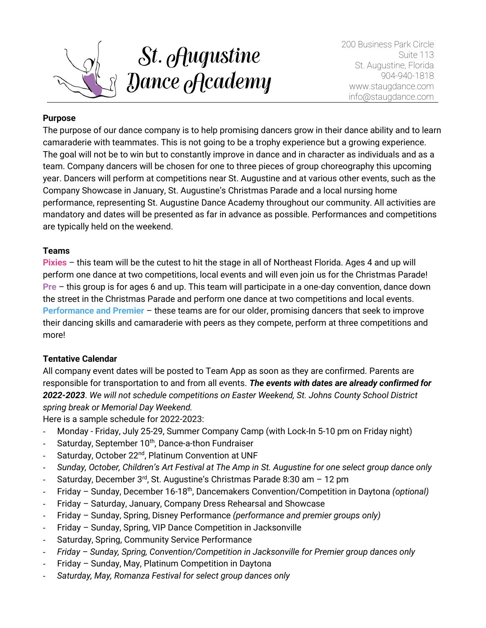

200 Business Park Circle Suite 113 St. Augustine, Florida 904-940-1818 www.staugdance.com info@staugdance.com

### **Purpose**

The purpose of our dance company is to help promising dancers grow in their dance ability and to learn camaraderie with teammates. This is not going to be a trophy experience but a growing experience. The goal will not be to win but to constantly improve in dance and in character as individuals and as a team. Company dancers will be chosen for one to three pieces of group choreography this upcoming year. Dancers will perform at competitions near St. Augustine and at various other events, such as the Company Showcase in January, St. Augustine's Christmas Parade and a local nursing home performance, representing St. Augustine Dance Academy throughout our community. All activities are mandatory and dates will be presented as far in advance as possible. Performances and competitions are typically held on the weekend.

### **Teams**

**Pixies** – this team will be the cutest to hit the stage in all of Northeast Florida. Ages 4 and up will perform one dance at two competitions, local events and will even join us for the Christmas Parade! **Pre** – this group is for ages 6 and up. This team will participate in a one-day convention, dance down the street in the Christmas Parade and perform one dance at two competitions and local events. **Performance and Premier** – these teams are for our older, promising dancers that seek to improve their dancing skills and camaraderie with peers as they compete, perform at three competitions and more!

## **Tentative Calendar**

All company event dates will be posted to Team App as soon as they are confirmed. Parents are responsible for transportation to and from all events. *The events with dates are already confirmed for 2022-2023*. *We will not schedule competitions on Easter Weekend, St. Johns County School District spring break or Memorial Day Weekend.* 

Here is a sample schedule for 2022-2023:

- Monday Friday, July 25-29, Summer Company Camp (with Lock-In 5-10 pm on Friday night)
- Saturday, September 10<sup>th</sup>, Dance-a-thon Fundraiser
- Saturday, October 22<sup>nd</sup>, Platinum Convention at UNF
- *Sunday, October, Children's Art Festival at The Amp in St. Augustine for one select group dance only*
- Saturday, December  $3<sup>rd</sup>$ , St. Augustine's Christmas Parade 8:30 am 12 pm
- Friday Sunday, December 16-18th, Dancemakers Convention/Competition in Daytona *(optional)*
- Friday Saturday, January, Company Dress Rehearsal and Showcase
- Friday Sunday, Spring, Disney Performance *(performance and premier groups only)*
- Friday Sunday, Spring, VIP Dance Competition in Jacksonville
- Saturday, Spring, Community Service Performance
- *Friday – Sunday, Spring, Convention/Competition in Jacksonville for Premier group dances only*
- Friday Sunday, May, Platinum Competition in Daytona
- *Saturday, May, Romanza Festival for select group dances only*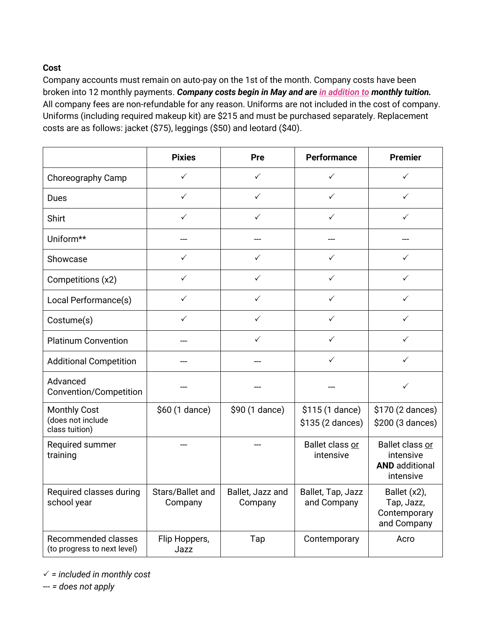# **Cost**

Company accounts must remain on auto-pay on the 1st of the month. Company costs have been broken into 12 monthly payments. *Company costs begin in May and are in addition to monthly tuition.*  All company fees are non-refundable for any reason. Uniforms are not included in the cost of company. Uniforms (including required makeup kit) are \$215 and must be purchased separately. Replacement costs are as follows: jacket (\$75), leggings (\$50) and leotard (\$40).

|                                                            | <b>Pixies</b>               | Pre                         | <b>Performance</b>                  | <b>Premier</b>                                                     |
|------------------------------------------------------------|-----------------------------|-----------------------------|-------------------------------------|--------------------------------------------------------------------|
| Choreography Camp                                          | $\checkmark$                | ✓                           | ✓                                   | ✓                                                                  |
| Dues                                                       | $\checkmark$                | ✓                           | ✓                                   | ✓                                                                  |
| Shirt                                                      | $\checkmark$                | $\checkmark$                | $\checkmark$                        | $\checkmark$                                                       |
| Uniform**                                                  |                             |                             |                                     |                                                                    |
| Showcase                                                   | $\checkmark$                | $\checkmark$                | $\checkmark$                        | ✓                                                                  |
| Competitions (x2)                                          | $\checkmark$                | $\checkmark$                | $\checkmark$                        | $\checkmark$                                                       |
| Local Performance(s)                                       | $\checkmark$                | $\checkmark$                | $\checkmark$                        | ✓                                                                  |
| Costume(s)                                                 | ✓                           | ✓                           | ✓                                   | ✓                                                                  |
| <b>Platinum Convention</b>                                 |                             | ✓                           | ✓                                   | ✓                                                                  |
| <b>Additional Competition</b>                              |                             |                             | ✓                                   | ✓                                                                  |
| Advanced<br>Convention/Competition                         |                             |                             |                                     | ✓                                                                  |
| <b>Monthly Cost</b><br>(does not include<br>class tuition) | \$60 (1 dance)              | \$90 (1 dance)              | \$115 (1 dance)<br>\$135 (2 dances) | \$170 (2 dances)<br>\$200 (3 dances)                               |
| Required summer<br>training                                |                             |                             | Ballet class or<br>intensive        | Ballet class or<br>intensive<br><b>AND</b> additional<br>intensive |
| Required classes during<br>school year                     | Stars/Ballet and<br>Company | Ballet, Jazz and<br>Company | Ballet, Tap, Jazz<br>and Company    | Ballet (x2),<br>Tap, Jazz,<br>Contemporary<br>and Company          |
| <b>Recommended classes</b><br>(to progress to next level)  | Flip Hoppers,<br>Jazz       | Tap                         | Contemporary                        | Acro                                                               |

 $\checkmark$  = included in monthly cost

--- *= does not apply*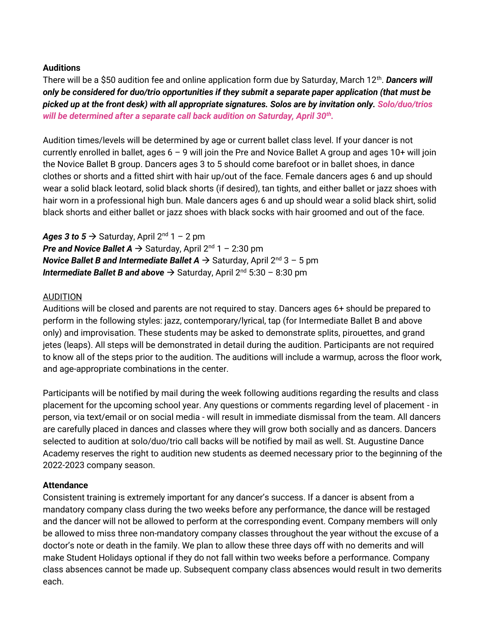### **Auditions**

There will be a \$50 audition fee and online application form due by Saturday, March 12<sup>th</sup>. **Dancers will** *only be considered for duo/trio opportunities if they submit a separate paper application (that must be picked up at the front desk) with all appropriate signatures. Solos are by invitation only. Solo/duo/trios will be determined after a separate call back audition on Saturday, April 30th .*

Audition times/levels will be determined by age or current ballet class level. If your dancer is not currently enrolled in ballet, ages  $6 - 9$  will join the Pre and Novice Ballet A group and ages 10+ will join the Novice Ballet B group. Dancers ages 3 to 5 should come barefoot or in ballet shoes, in dance clothes or shorts and a fitted shirt with hair up/out of the face. Female dancers ages 6 and up should wear a solid black leotard, solid black shorts (if desired), tan tights, and either ballet or jazz shoes with hair worn in a professional high bun. Male dancers ages 6 and up should wear a solid black shirt, solid black shorts and either ballet or jazz shoes with black socks with hair groomed and out of the face.

Ages 3 to  $5 \rightarrow$  Saturday, April  $2^{nd}$  1 – 2 pm **Pre and Novice Ballet A**  $\rightarrow$  **Saturday, April 2<sup>nd</sup> 1 – 2:30 pm** *Novice Ballet B and Intermediate Ballet A*  $\rightarrow$  *Saturday, April 2<sup>nd</sup> 3 – 5 pm Intermediate Ballet B and above* → Saturday, April 2nd 5:30 – 8:30 pm

#### AUDITION

Auditions will be closed and parents are not required to stay. Dancers ages 6+ should be prepared to perform in the following styles: jazz, contemporary/lyrical, tap (for Intermediate Ballet B and above only) and improvisation. These students may be asked to demonstrate splits, pirouettes, and grand jetes (leaps). All steps will be demonstrated in detail during the audition. Participants are not required to know all of the steps prior to the audition. The auditions will include a warmup, across the floor work, and age-appropriate combinations in the center.

Participants will be notified by mail during the week following auditions regarding the results and class placement for the upcoming school year. Any questions or comments regarding level of placement - in person, via text/email or on social media - will result in immediate dismissal from the team. All dancers are carefully placed in dances and classes where they will grow both socially and as dancers. Dancers selected to audition at solo/duo/trio call backs will be notified by mail as well. St. Augustine Dance Academy reserves the right to audition new students as deemed necessary prior to the beginning of the 2022-2023 company season.

#### **Attendance**

Consistent training is extremely important for any dancer's success. If a dancer is absent from a mandatory company class during the two weeks before any performance, the dance will be restaged and the dancer will not be allowed to perform at the corresponding event. Company members will only be allowed to miss three non-mandatory company classes throughout the year without the excuse of a doctor's note or death in the family. We plan to allow these three days off with no demerits and will make Student Holidays optional if they do not fall within two weeks before a performance. Company class absences cannot be made up. Subsequent company class absences would result in two demerits each.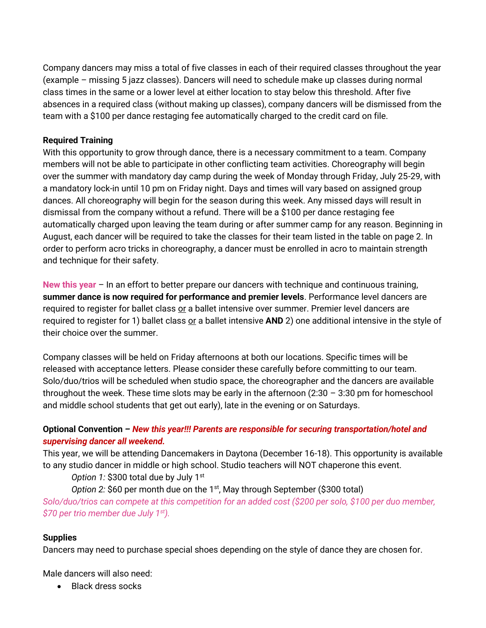Company dancers may miss a total of five classes in each of their required classes throughout the year (example – missing 5 jazz classes). Dancers will need to schedule make up classes during normal class times in the same or a lower level at either location to stay below this threshold. After five absences in a required class (without making up classes), company dancers will be dismissed from the team with a \$100 per dance restaging fee automatically charged to the credit card on file.

### **Required Training**

With this opportunity to grow through dance, there is a necessary commitment to a team. Company members will not be able to participate in other conflicting team activities. Choreography will begin over the summer with mandatory day camp during the week of Monday through Friday, July 25-29, with a mandatory lock-in until 10 pm on Friday night. Days and times will vary based on assigned group dances. All choreography will begin for the season during this week. Any missed days will result in dismissal from the company without a refund. There will be a \$100 per dance restaging fee automatically charged upon leaving the team during or after summer camp for any reason. Beginning in August, each dancer will be required to take the classes for their team listed in the table on page 2. In order to perform acro tricks in choreography, a dancer must be enrolled in acro to maintain strength and technique for their safety.

**New this year** – In an effort to better prepare our dancers with technique and continuous training, **summer dance is now required for performance and premier levels**. Performance level dancers are required to register for ballet class or a ballet intensive over summer. Premier level dancers are required to register for 1) ballet class or a ballet intensive **AND** 2) one additional intensive in the style of their choice over the summer.

Company classes will be held on Friday afternoons at both our locations. Specific times will be released with acceptance letters. Please consider these carefully before committing to our team. Solo/duo/trios will be scheduled when studio space, the choreographer and the dancers are available throughout the week. These time slots may be early in the afternoon  $(2:30 - 3:30 \text{ pm}$  for homeschool and middle school students that get out early), late in the evening or on Saturdays.

# **Optional Convention** *– New this year!!! Parents are responsible for securing transportation/hotel and supervising dancer all weekend.*

This year, we will be attending Dancemakers in Daytona (December 16-18). This opportunity is available to any studio dancer in middle or high school. Studio teachers will NOT chaperone this event.

*Option 1:* \$300 total due by July 1<sup>st</sup>

*Option 2:* \$60 per month due on the 1<sup>st</sup>, May through September (\$300 total)

*Solo/duo/trios can compete at this competition for an added cost (\$200 per solo, \$100 per duo member, \$70 per trio member due July 1st).*

## **Supplies**

Dancers may need to purchase special shoes depending on the style of dance they are chosen for.

Male dancers will also need:

• Black dress socks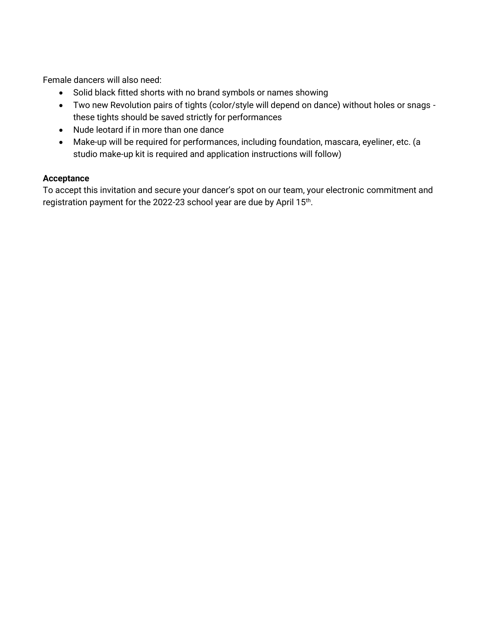Female dancers will also need:

- Solid black fitted shorts with no brand symbols or names showing
- Two new Revolution pairs of tights (color/style will depend on dance) without holes or snags these tights should be saved strictly for performances
- Nude leotard if in more than one dance
- Make-up will be required for performances, including foundation, mascara, eyeliner, etc. (a studio make-up kit is required and application instructions will follow)

## **Acceptance**

To accept this invitation and secure your dancer's spot on our team, your electronic commitment and registration payment for the 2022-23 school year are due by April 15th.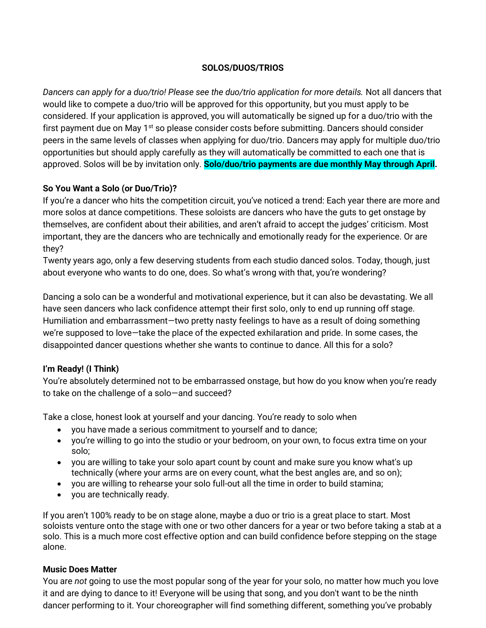### **SOLOS/DUOS/TRIOS**

*Dancers can apply for a duo/trio! Please see the duo/trio application for more details.* Not all dancers that would like to compete a duo/trio will be approved for this opportunity, but you must apply to be considered. If your application is approved, you will automatically be signed up for a duo/trio with the first payment due on May  $1<sup>st</sup>$  so please consider costs before submitting. Dancers should consider peers in the same levels of classes when applying for duo/trio. Dancers may apply for multiple duo/trio opportunities but should apply carefully as they will automatically be committed to each one that is approved. Solos will be by invitation only. **Solo/duo/trio payments are due monthly May through April.**

### **So You Want a Solo (or Duo/Trio)?**

If you're a dancer who hits the competition circuit, you've noticed a trend: Each year there are more and more solos at dance competitions. These soloists are dancers who have the guts to get onstage by themselves, are confident about their abilities, and aren't afraid to accept the judges' criticism. Most important, they are the dancers who are technically and emotionally ready for the experience. Or are they?

Twenty years ago, only a few deserving students from each studio danced solos. Today, though, just about everyone who wants to do one, does. So what's wrong with that, you're wondering?

Dancing a solo can be a wonderful and motivational experience, but it can also be devastating. We all have seen dancers who lack confidence attempt their first solo, only to end up running off stage. Humiliation and embarrassment—two pretty nasty feelings to have as a result of doing something we're supposed to love—take the place of the expected exhilaration and pride. In some cases, the disappointed dancer questions whether she wants to continue to dance. All this for a solo?

## **I'm Ready! (I Think)**

You're absolutely determined not to be embarrassed onstage, but how do you know when you're ready to take on the challenge of a solo—and succeed?

Take a close, honest look at yourself and your dancing. You're ready to solo when

- you have made a serious commitment to yourself and to dance;
- you're willing to go into the studio or your bedroom, on your own, to focus extra time on your solo;
- you are willing to take your solo apart count by count and make sure you know what's up technically (where your arms are on every count, what the best angles are, and so on);
- you are willing to rehearse your solo full-out all the time in order to build stamina;
- you are technically ready.

If you aren't 100% ready to be on stage alone, maybe a duo or trio is a great place to start. Most soloists venture onto the stage with one or two other dancers for a year or two before taking a stab at a solo. This is a much more cost effective option and can build confidence before stepping on the stage alone.

#### **Music Does Matter**

You are *not* going to use the most popular song of the year for your solo, no matter how much you love it and are dying to dance to it! Everyone will be using that song, and you don't want to be the ninth dancer performing to it. Your choreographer will find something different, something you've probably